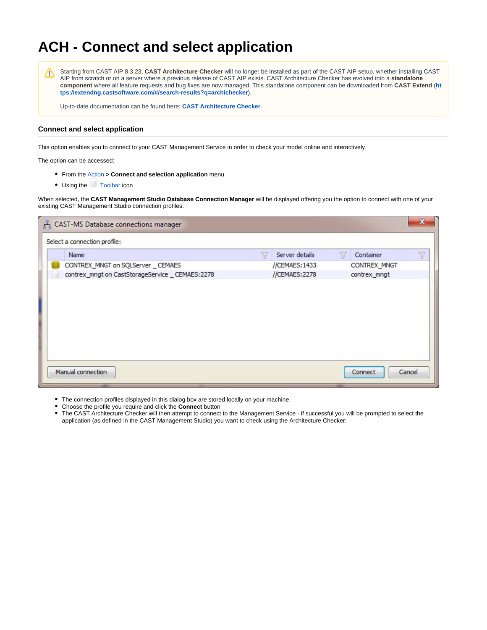# **ACH - Connect and select application**

Λ

Starting from CAST AIP 8.3.23, **CAST Architecture Checker** will no longer be installed as part of the CAST AIP setup, whether installing CAST AIP from scratch or on a server where a previous release of CAST AIP exists. CAST Architecture Checker has evolved into a **standalone component** where all feature requests and bug fixes are now managed. This standalone component can be downloaded from **CAST Extend** (**[ht](https://extendng.castsoftware.com/#/search-results?q=archichecker) [tps://extendng.castsoftware.com/#/search-results?q=archichecker](https://extendng.castsoftware.com/#/search-results?q=archichecker)**).

Up-to-date documentation can be found here: **[CAST Architecture Checker](https://doc.castsoftware.com/display/DOCCOM/CAST+Architecture+Checker)**.

# **Connect and select application**

This option enables you to connect to your CAST Management Service in order to check your model online and interactively.

The option can be accessed:

- From the [Action](https://doc.castsoftware.com/display/DOC83/ACH+-+Action+menu) **> Connect and selection application** menu
- Using the [Toolbar](https://doc.castsoftware.com/display/DOC83/ACH+-+Toolbar) icon

When selected, the **CAST Management Studio Database Connection Manager** will be displayed offering you the option to connect with one of your existing CAST Management Studio connection profiles:

| + CAST-MS Database connections manager           |                |                   |   |
|--------------------------------------------------|----------------|-------------------|---|
| Select a connection profile:                     |                |                   |   |
| Name                                             | Server details | Container         | Y |
| CONTREX_MNGT on SQLServer _ CEMAES               | //CEMAES: 1433 | CONTREX_MNGT      |   |
| contrex_mngt on CastStorageService _ CEMAES:2278 | //CEMAES:2278  | contrex_mngt      |   |
|                                                  |                |                   |   |
| Manual connection                                |                | Connect<br>Cancel |   |

- The connection profiles displayed in this dialog box are stored locally on your machine.
- Choose the profile you require and click the **Connect** button

The CAST Architecture Checker will then attempt to connect to the Management Service - if successful you will be prompted to select the application (as defined in the CAST Management Studio) you want to check using the Architecture Checker: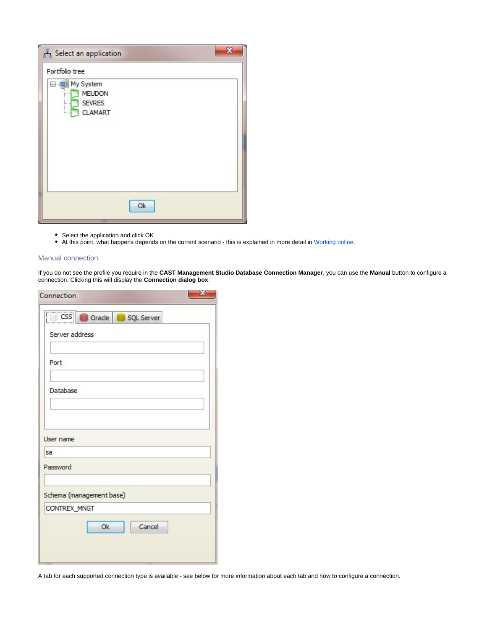| 57<br>Select an application                                                |  |
|----------------------------------------------------------------------------|--|
| Portfolio tree                                                             |  |
| My System<br><b>MEUDON</b><br><b>SEVRES</b><br><br><b>CLAMART</b><br>1.1.1 |  |
| Ok                                                                         |  |

- Select the application and click OK
- At this point, what happens depends on the current scenario this is explained in more detail in [Working online](https://doc.castsoftware.com/display/DOC83/ACH+-+Working+online).

# Manual connection

If you do not see the profile you require in the **CAST Management Studio Database Connection Manager**, you can use the **Manual** button to configure a connection. Clicking this will display the **Connection dialog box**:

| ľ                           | CSS Corade<br>SQL Server |  |
|-----------------------------|--------------------------|--|
| Server address              |                          |  |
| Port                        |                          |  |
| Database                    |                          |  |
|                             |                          |  |
|                             |                          |  |
|                             |                          |  |
|                             |                          |  |
| User name<br>sa<br>Password |                          |  |
|                             | Schema (management base) |  |
| CONTREX_MNGT                |                          |  |

A tab for each supported connection type is available - see below for more information about each tab and how to configure a connection.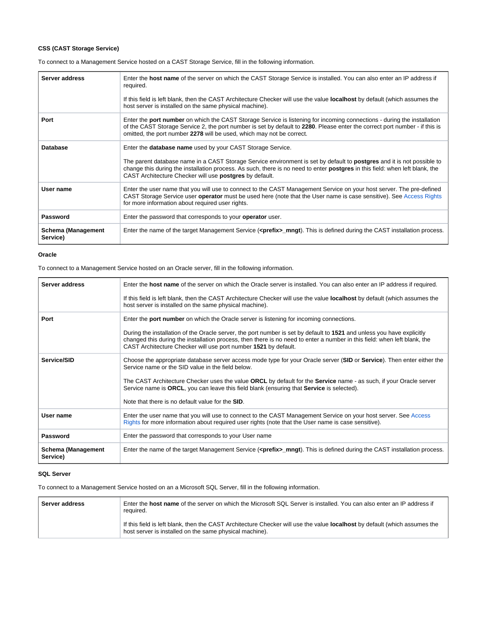# **CSS (CAST Storage Service)**

To connect to a Management Service hosted on a CAST Storage Service, fill in the following information.

| Server address                        | Enter the host name of the server on which the CAST Storage Service is installed. You can also enter an IP address if<br>required.<br>If this field is left blank, then the CAST Architecture Checker will use the value <b>localhost</b> by default (which assumes the<br>host server is installed on the same physical machine).                                                                   |
|---------------------------------------|------------------------------------------------------------------------------------------------------------------------------------------------------------------------------------------------------------------------------------------------------------------------------------------------------------------------------------------------------------------------------------------------------|
| Port                                  | Enter the port number on which the CAST Storage Service is listening for incoming connections - during the installation<br>of the CAST Storage Service 2, the port number is set by default to 2280. Please enter the correct port number - if this is<br>omitted, the port number 2278 will be used, which may not be correct.                                                                      |
| Database                              | Enter the <b>database name</b> used by your CAST Storage Service.<br>The parent database name in a CAST Storage Service environment is set by default to <b>postgres</b> and it is not possible to<br>change this during the installation process. As such, there is no need to enter <b>postgres</b> in this field: when left blank, the<br>CAST Architecture Checker will use postgres by default. |
| User name                             | Enter the user name that you will use to connect to the CAST Management Service on your host server. The pre-defined<br>CAST Storage Service user operator must be used here (note that the User name is case sensitive). See Access Rights<br>for more information about required user rights.                                                                                                      |
| Password                              | Enter the password that corresponds to your <b>operator</b> user.                                                                                                                                                                                                                                                                                                                                    |
| <b>Schema (Management</b><br>Service) | Enter the name of the target Management Service ( <prefix>_mngt). This is defined during the CAST installation process.</prefix>                                                                                                                                                                                                                                                                     |

#### **Oracle**

To connect to a Management Service hosted on an Oracle server, fill in the following information.

| Server address                        | Enter the <b>host name</b> of the server on which the Oracle server is installed. You can also enter an IP address if required.                                                                                                                                                                                                                |
|---------------------------------------|------------------------------------------------------------------------------------------------------------------------------------------------------------------------------------------------------------------------------------------------------------------------------------------------------------------------------------------------|
|                                       | If this field is left blank, then the CAST Architecture Checker will use the value <b>localhost</b> by default (which assumes the<br>host server is installed on the same physical machine).                                                                                                                                                   |
| Port                                  | Enter the port number on which the Oracle server is listening for incoming connections.<br>During the installation of the Oracle server, the port number is set by default to 1521 and unless you have explicitly<br>changed this during the installation process, then there is no need to enter a number in this field: when left blank, the |
|                                       | CAST Architecture Checker will use port number 1521 by default.                                                                                                                                                                                                                                                                                |
| Service/SID                           | Choose the appropriate database server access mode type for your Oracle server (SID or Service). Then enter either the<br>Service name or the SID value in the field below.                                                                                                                                                                    |
|                                       | The CAST Architecture Checker uses the value ORCL by default for the Service name - as such, if your Oracle server<br>Service name is ORCL, you can leave this field blank (ensuring that Service is selected).                                                                                                                                |
|                                       | Note that there is no default value for the SID.                                                                                                                                                                                                                                                                                               |
| User name                             | Enter the user name that you will use to connect to the CAST Management Service on your host server. See Access<br>Rights for more information about required user rights (note that the User name is case sensitive).                                                                                                                         |
| Password                              | Enter the password that corresponds to your User name                                                                                                                                                                                                                                                                                          |
| <b>Schema (Management</b><br>Service) | Enter the name of the target Management Service ( <prefix>_mngt). This is defined during the CAST installation process.</prefix>                                                                                                                                                                                                               |

### **SQL Server**

To connect to a Management Service hosted on an a Microsoft SQL Server, fill in the following information.

| Server address | Enter the <b>host name</b> of the server on which the Microsoft SQL Server is installed. You can also enter an IP address if<br>required.                                                    |
|----------------|----------------------------------------------------------------------------------------------------------------------------------------------------------------------------------------------|
|                | If this field is left blank, then the CAST Architecture Checker will use the value <b>localhost</b> by default (which assumes the<br>host server is installed on the same physical machine). |